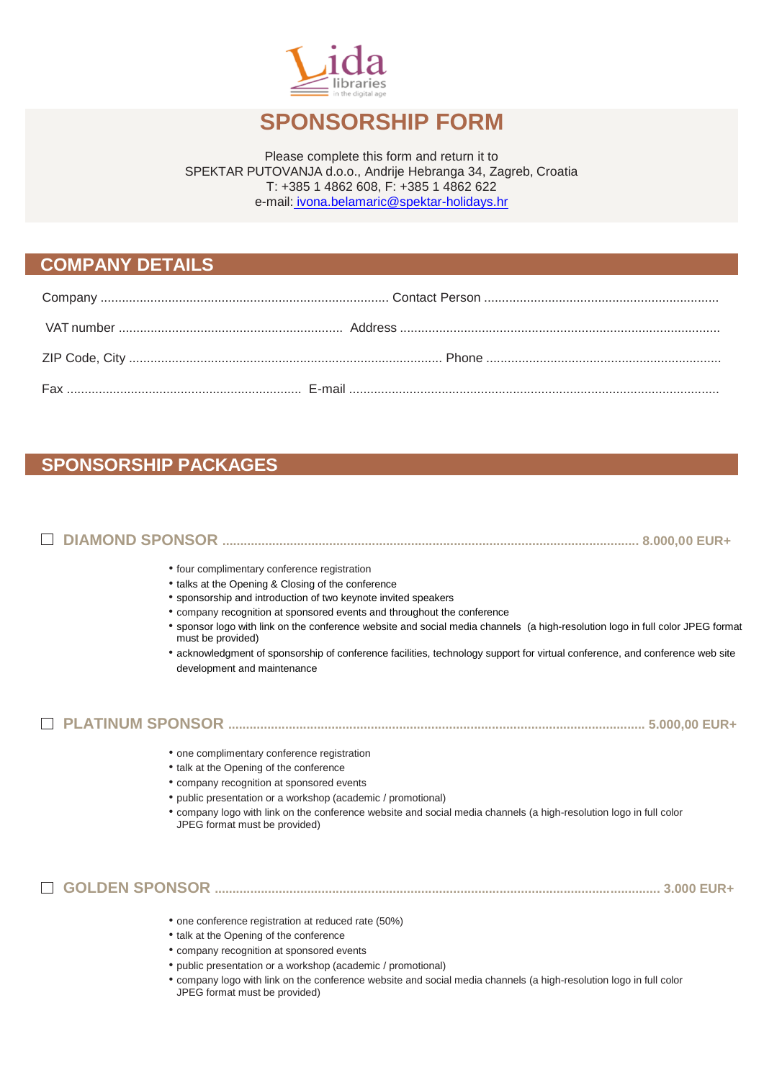

# **SPONSORSHIP FORM**

Please complete this form and return it to SPEKTAR PUTOVANJA d.o.o., Andrije Hebranga 34, Zagreb, Croatia T: +385 1 4862 608, F: +385 1 4862 622 e-mail: [ivona.belamaric@spektar-holidays.hr](mailto:%20ivona.belamaric@spektar-holidays.hr)

#### **COMPANY DETAILS**

## **SPONSORSHIP PACKAGES**

# **DIAMOND SPONSOR ..................................................................................................................... 8.000,00 EUR+**

- four complimentary conference registration
- talks at the Opening & Closing of the conference
- sponsorship and introduction of two keynote invited speakers
- company recognition at sponsored events and throughout the conference
- sponsor logo with link on the conference website and social media channels (a high-resolution logo in full color JPEG format must be provided)
- acknowledgment of sponsorship of conference facilities, technology support for virtual conference, and conference web site development and maintenance

#### **PLATINUM SPONSOR ..................................................................................................................... 5.000,00 EUR+**

- one complimentary conference registration
- talk at the Opening of the conference
- company recognition at sponsored events
- public presentation or a workshop (academic / promotional)
- company logo with link on the conference website and social media channels (a high-resolution logo in full color JPEG format must be provided)

### **GOLDEN SPONSOR ............................................................................................................................. 3.000 EUR+**

- one conference registration at reduced rate (50%)
- talk at the Opening of the conference
- company recognition at sponsored events
- public presentation or a workshop (academic / promotional)
- company logo with link on the conference website and social media channels (a high-resolution logo in full color JPEG format must be provided)